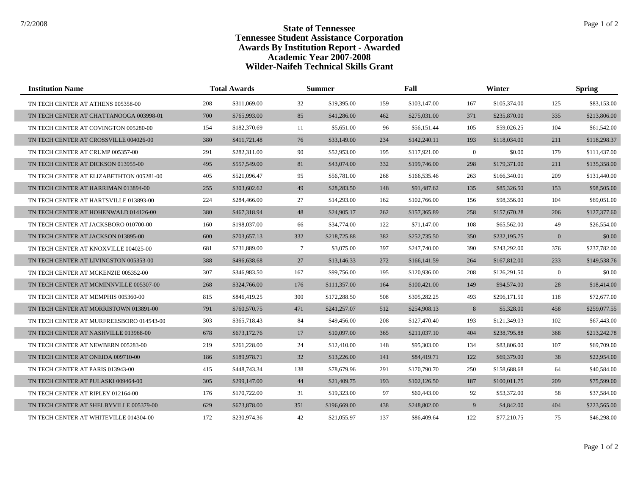| <b>Institution Name</b>                  | <b>Total Awards</b> |              | <b>Summer</b> |              | Fall |              | Winter         |              | <b>Spring</b>  |              |
|------------------------------------------|---------------------|--------------|---------------|--------------|------|--------------|----------------|--------------|----------------|--------------|
| TN TECH CENTER AT ATHENS 005358-00       | 208                 | \$311,069.00 | 32            | \$19,395.00  | 159  | \$103,147.00 | 167            | \$105,374.00 | 125            | \$83,153.00  |
| TN TECH CENTER AT CHATTANOOGA 003998-01  | 700                 | \$765,993.00 | 85            | \$41,286.00  | 462  | \$275,031.00 | 371            | \$235,870.00 | 335            | \$213,806.00 |
| TN TECH CENTER AT COVINGTON 005280-00    | 154                 | \$182,370.69 | 11            | \$5,651.00   | 96   | \$56,151.44  | 105            | \$59,026.25  | 104            | \$61,542.00  |
| TN TECH CENTER AT CROSSVILLE 004026-00   | 380                 | \$411,721.48 | 76            | \$33,149.00  | 234  | \$142,240.11 | 193            | \$118,034.00 | 211            | \$118,298.37 |
| TN TECH CENTER AT CRUMP 005357-00        | 291                 | \$282,311.00 | 90            | \$52,953.00  | 195  | \$117,921.00 | $\overline{0}$ | \$0.00       | 179            | \$111,437.00 |
| TN TECH CENTER AT DICKSON 013955-00      | 495                 | \$557,549.00 | 81            | \$43,074.00  | 332  | \$199,746.00 | 298            | \$179,371.00 | 211            | \$135,358.00 |
| TN TECH CENTER AT ELIZABETHTON 005281-00 | 405                 | \$521,096.47 | 95            | \$56,781.00  | 268  | \$166,535.46 | 263            | \$166,340.01 | 209            | \$131,440.00 |
| TN TECH CENTER AT HARRIMAN 013894-00     | 255                 | \$303,602.62 | 49            | \$28,283.50  | 148  | \$91,487.62  | 135            | \$85,326.50  | 153            | \$98,505.00  |
| TN TECH CENTER AT HARTSVILLE 013893-00   | 224                 | \$284,466.00 | 27            | \$14,293.00  | 162  | \$102,766.00 | 156            | \$98,356.00  | 104            | \$69,051.00  |
| TN TECH CENTER AT HOHENWALD 014126-00    | 380                 | \$467,318.94 | 48            | \$24,905.17  | 262  | \$157,365.89 | 258            | \$157,670.28 | 206            | \$127,377.60 |
| TN TECH CENTER AT JACKSBORO 010700-00    | 160                 | \$198,037.00 | 66            | \$34,774.00  | 122  | \$71,147.00  | 108            | \$65,562.00  | 49             | \$26,554.00  |
| TN TECH CENTER AT JACKSON 013895-00      | 600                 | \$703,657.13 | 332           | \$218,725.88 | 382  | \$252,735.50 | 350            | \$232,195.75 | $\mathbf{0}$   | \$0.00       |
| TN TECH CENTER AT KNOXVILLE 004025-00    | 681                 | \$731,889.00 | $\tau$        | \$3,075.00   | 397  | \$247,740.00 | 390            | \$243,292.00 | 376            | \$237,782.00 |
| TN TECH CENTER AT LIVINGSTON 005353-00   | 388                 | \$496,638.68 | 27            | \$13,146.33  | 272  | \$166,141.59 | 264            | \$167,812.00 | 233            | \$149,538.76 |
| TN TECH CENTER AT MCKENZIE 005352-00     | 307                 | \$346,983.50 | 167           | \$99,756.00  | 195  | \$120,936.00 | 208            | \$126,291.50 | $\overline{0}$ | \$0.00       |
| TN TECH CENTER AT MCMINNVILLE 005307-00  | 268                 | \$324,766.00 | 176           | \$111,357.00 | 164  | \$100,421.00 | 149            | \$94,574.00  | 28             | \$18,414.00  |
| TN TECH CENTER AT MEMPHIS 005360-00      | 815                 | \$846,419.25 | 300           | \$172,288.50 | 508  | \$305,282.25 | 493            | \$296,171.50 | 118            | \$72,677.00  |
| TN TECH CENTER AT MORRISTOWN 013891-00   | 791                 | \$760,570.75 | 471           | \$241,257.07 | 512  | \$254,908.13 | 8              | \$5,328.00   | 458            | \$259,077.55 |
| TN TECH CENTER AT MURFREESBORO 014543-00 | 303                 | \$365,718.43 | 84            | \$49,456.00  | 208  | \$127,470.40 | 193            | \$121,349.03 | 102            | \$67,443.00  |
| TN TECH CENTER AT NASHVILLE 013968-00    | 678                 | \$673,172.76 | 17            | \$10,097.00  | 365  | \$211,037.10 | 404            | \$238,795.88 | 368            | \$213,242.78 |
| TN TECH CENTER AT NEWBERN 005283-00      | 219                 | \$261,228.00 | 24            | \$12,410.00  | 148  | \$95,303.00  | 134            | \$83,806.00  | 107            | \$69,709.00  |
| TN TECH CENTER AT ONEIDA 009710-00       | 186                 | \$189,978.71 | 32            | \$13,226.00  | 141  | \$84,419.71  | 122            | \$69,379.00  | 38             | \$22,954.00  |
| TN TECH CENTER AT PARIS 013943-00        | 415                 | \$448,743.34 | 138           | \$78,679.96  | 291  | \$170,790.70 | 250            | \$158,688.68 | 64             | \$40,584.00  |
| TN TECH CENTER AT PULASKI 009464-00      | 305                 | \$299,147.00 | 44            | \$21,409.75  | 193  | \$102,126.50 | 187            | \$100,011.75 | 209            | \$75,599.00  |
| TN TECH CENTER AT RIPLEY 012164-00       | 176                 | \$170,722.00 | 31            | \$19,323.00  | 97   | \$60,443.00  | 92             | \$53,372.00  | 58             | \$37,584.00  |
| TN TECH CENTER AT SHELBYVILLE 005379-00  | 629                 | \$673,878.00 | 351           | \$196,669.00 | 438  | \$248,802.00 | 9              | \$4,842.00   | 404            | \$223,565.00 |
| TN TECH CENTER AT WHITEVILLE 014304-00   | 172                 | \$230,974.36 | 42            | \$21,055.97  | 137  | \$86,409.64  | 122            | \$77,210.75  | 75             | \$46,298.00  |